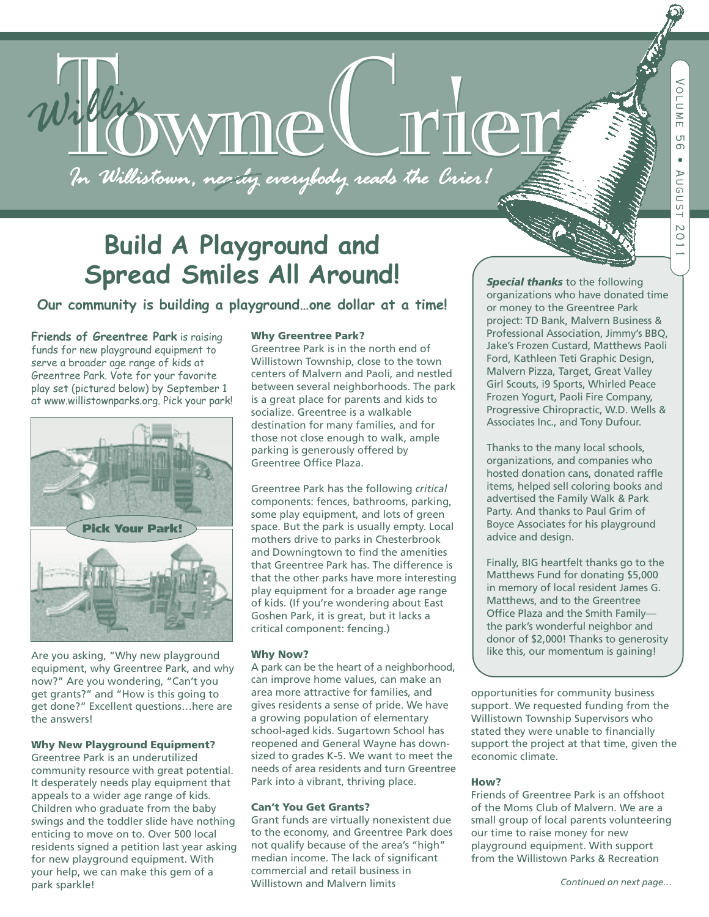*MOWMMC*CHTCL

## **Build A Playground and Spread Smiles All Around!**

#### **Our community is building a playground…one dollar at a time!**

**Friends of Greentree Park** is raising funds for new playground equipment to serve a broader age range of kids at Greentree Park. Vote for your favorite play set (pictured below) by September 1 at www.willistownparks.org. Pick your park!



Are you asking, "Why new playground equipment, why Greentree Park, and why now?" Are you wondering, "Can't you get grants?" and "How is this going to get done?" Excellent questions…here are the answers!

#### **Why New Playground Equipment?**

Greentree Park is an underutilized community resource with great potential. It desperately needs play equipment that appeals to a wider age range of kids. Children who graduate from the baby swings and the toddler slide have nothing enticing to move on to. Over 500 local residents signed a petition last year asking for new playground equipment. With your help, we can make this gem of a park sparkle!

#### **Why Greentree Park?**

Greentree Park is in the north end of Willistown Township, close to the town centers of Malvern and Paoli, and nestled between several neighborhoods. The park is a great place for parents and kids to socialize. Greentree is a walkable destination for many families, and for those not close enough to walk, ample parking is generously offered by Greentree Office Plaza.

Greentree Park has the following *critical* components: fences, bathrooms, parking, some play equipment, and lots of green space. But the park is usually empty. Local mothers drive to parks in Chesterbrook and Downingtown to find the amenities that Greentree Park has. The difference is that the other parks have more interesting play equipment for a broader age range of kids. (If you're wondering about East Goshen Park, it is great, but it lacks a critical component: fencing.)

#### **Why Now?**

A park can be the heart of a neighborhood, can improve home values, can make an area more attractive for families, and gives residents a sense of pride. We have a growing population of elementary school-aged kids. Sugartown School has reopened and General Wayne has downsized to grades K-5. We want to meet the needs of area residents and turn Greentree Park into a vibrant, thriving place.

#### **Can't You Get Grants?**

Grant funds are virtually nonexistent due to the economy, and Greentree Park does not qualify because of the area's "high" median income. The lack of significant commercial and retail business in Willistown and Malvern limits

*Special thanks* to the following organizations who have donated time or money to the Greentree Park project: TD Bank, Malvern Business & Professional Association, Jimmy's BBQ, Jake's Frozen Custard, Matthews Paoli Ford, Kathleen Teti Graphic Design, Malvern Pizza, Target, Great Valley Girl Scouts, i9 Sports, Whirled Peace Frozen Yogurt, Paoli Fire Company, Progressive Chiropractic, W.D. Wells & Associates Inc., and Tony Dufour.

Thanks to the many local schools, organizations, and companies who hosted donation cans, donated raffle items, helped sell coloring books and advertised the Family Walk & Park Party. And thanks to Paul Grim of Boyce Associates for his playground advice and design.

Finally, BIG heartfelt thanks go to the Matthews Fund for donating \$5,000 in memory of local resident James G. Matthews, and to the Greentree Office Plaza and the Smith Family the park's wonderful neighbor and donor of \$2,000! Thanks to generosity like this, our momentum is gaining!

opportunities for community business support. We requested funding from the Willistown Township Supervisors who stated they were unable to financially support the project at that time, given the economic climate.

#### **How?**

Friends of Greentree Park is an offshoot of the Moms Club of Malvern. We are a small group of local parents volunteering our time to raise money for new playground equipment. With support from the Willistown Parks & Recreation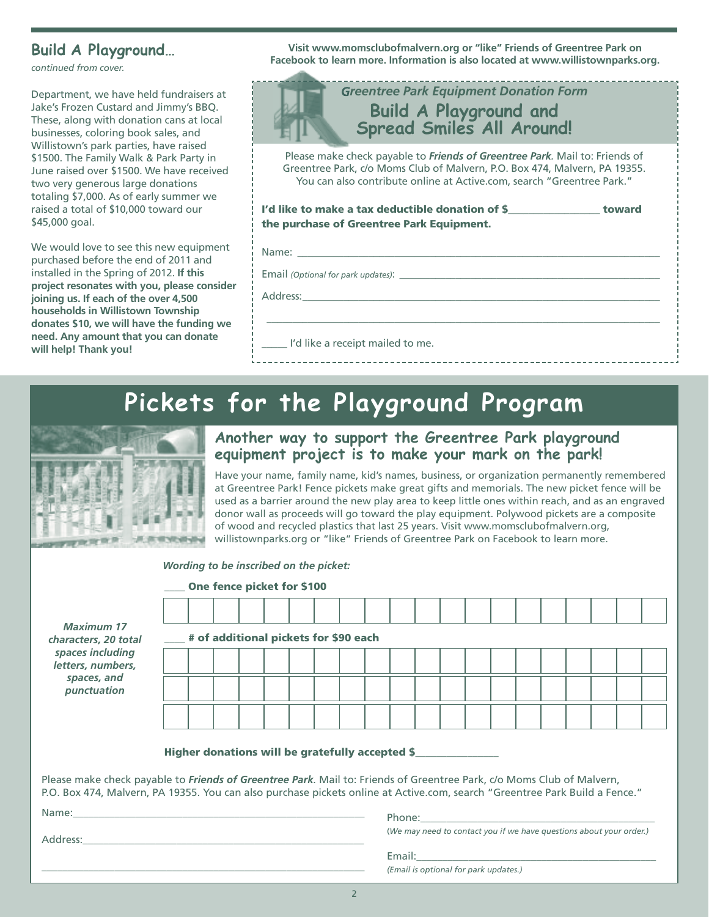*continued from cover.*

Department, we have held fundraisers at Jake's Frozen Custard and Jimmy's BBQ. These, along with donation cans at local businesses, coloring book sales, and Willistown's park parties, have raised \$1500. The Family Walk & Park Party in June raised over \$1500. We have received two very generous large donations totaling \$7,000. As of early summer we raised a total of \$10,000 toward our \$45,000 goal.

We would love to see this new equipment purchased before the end of 2011 and installed in the Spring of 2012. **If this project resonates with you, please consider joining us. If each of the over 4,500 households in Willistown Township donates \$10, we will have the funding we need. Any amount that you can donate will help! Thank you!**

**Visit www.momsclubofmalvern.org or "like" Friends of Greentree Park on Facebook to learn more. Information is also located at www.willistownparks.org. Build <sup>A</sup> Playground…**

| <b>Greentree Park Equipment Donation Form</b><br><b>Build A Playground and<br/>Spread Smiles All Around!</b>                                                                                                                                |  |  |  |  |  |  |  |  |
|---------------------------------------------------------------------------------------------------------------------------------------------------------------------------------------------------------------------------------------------|--|--|--|--|--|--|--|--|
| Please make check payable to <i>Friends of Greentree Park</i> . Mail to: Friends of<br>Greentree Park, c/o Moms Club of Malvern, P.O. Box 474, Malvern, PA 19355.<br>You can also contribute online at Active.com, search "Greentree Park." |  |  |  |  |  |  |  |  |
| I'd like to make a tax deductible donation of \$<br>toward<br>the purchase of Greentree Park Equipment.                                                                                                                                     |  |  |  |  |  |  |  |  |
| Name:                                                                                                                                                                                                                                       |  |  |  |  |  |  |  |  |
|                                                                                                                                                                                                                                             |  |  |  |  |  |  |  |  |
| Address:                                                                                                                                                                                                                                    |  |  |  |  |  |  |  |  |
| I'd like a receipt mailed to me.                                                                                                                                                                                                            |  |  |  |  |  |  |  |  |

## **Pickets for the Playground Program**



### **Another way to support the Greentree Park playground equipment project is to make your mark on the park!**

Have your name, family name, kid's names, business, or organization permanently remembered at Greentree Park! Fence pickets make great gifts and memorials. The new picket fence will be used as a barrier around the new play area to keep little ones within reach, and as an engraved donor wall as proceeds will go toward the play equipment. Polywood pickets are a composite of wood and recycled plastics that last 25 years. Visit www.momsclubofmalvern.org, willistownparks.org or "like" Friends of Greentree Park on Facebook to learn more.

|                                                                                                                                                                                                                                                      | Wording to be inscribed on the picket: |  |  |  |  |  |                                                                     |  |  |  |  |  |                                       |  |  |                                                                                                                                                                                                                               |  |  |  |  |
|------------------------------------------------------------------------------------------------------------------------------------------------------------------------------------------------------------------------------------------------------|----------------------------------------|--|--|--|--|--|---------------------------------------------------------------------|--|--|--|--|--|---------------------------------------|--|--|-------------------------------------------------------------------------------------------------------------------------------------------------------------------------------------------------------------------------------|--|--|--|--|
| <b>Maximum 17</b><br>characters, 20 total<br>spaces including<br>letters, numbers,<br>spaces, and<br>punctuation                                                                                                                                     | One fence picket for \$100             |  |  |  |  |  |                                                                     |  |  |  |  |  |                                       |  |  |                                                                                                                                                                                                                               |  |  |  |  |
|                                                                                                                                                                                                                                                      |                                        |  |  |  |  |  |                                                                     |  |  |  |  |  |                                       |  |  |                                                                                                                                                                                                                               |  |  |  |  |
|                                                                                                                                                                                                                                                      | # of additional pickets for \$90 each  |  |  |  |  |  |                                                                     |  |  |  |  |  |                                       |  |  |                                                                                                                                                                                                                               |  |  |  |  |
|                                                                                                                                                                                                                                                      |                                        |  |  |  |  |  |                                                                     |  |  |  |  |  |                                       |  |  |                                                                                                                                                                                                                               |  |  |  |  |
|                                                                                                                                                                                                                                                      |                                        |  |  |  |  |  |                                                                     |  |  |  |  |  |                                       |  |  |                                                                                                                                                                                                                               |  |  |  |  |
|                                                                                                                                                                                                                                                      |                                        |  |  |  |  |  |                                                                     |  |  |  |  |  |                                       |  |  |                                                                                                                                                                                                                               |  |  |  |  |
| Higher donations will be gratefully accepted \$__________________________________                                                                                                                                                                    |                                        |  |  |  |  |  |                                                                     |  |  |  |  |  |                                       |  |  |                                                                                                                                                                                                                               |  |  |  |  |
| Please make check payable to Friends of Greentree Park. Mail to: Friends of Greentree Park, c/o Moms Club of Malvern,<br>P.O. Box 474, Malvern, PA 19355. You can also purchase pickets online at Active.com, search "Greentree Park Build a Fence." |                                        |  |  |  |  |  |                                                                     |  |  |  |  |  |                                       |  |  |                                                                                                                                                                                                                               |  |  |  |  |
|                                                                                                                                                                                                                                                      |                                        |  |  |  |  |  |                                                                     |  |  |  |  |  |                                       |  |  |                                                                                                                                                                                                                               |  |  |  |  |
|                                                                                                                                                                                                                                                      |                                        |  |  |  |  |  | (We may need to contact you if we have questions about your order.) |  |  |  |  |  |                                       |  |  |                                                                                                                                                                                                                               |  |  |  |  |
|                                                                                                                                                                                                                                                      |                                        |  |  |  |  |  |                                                                     |  |  |  |  |  | (Email is optional for park updates.) |  |  | Email: Email: Email: Partnership of the Communication of the Communication of the Communication of the Communication of the Communication of the Communication of the Communication of the Communication of the Communication |  |  |  |  |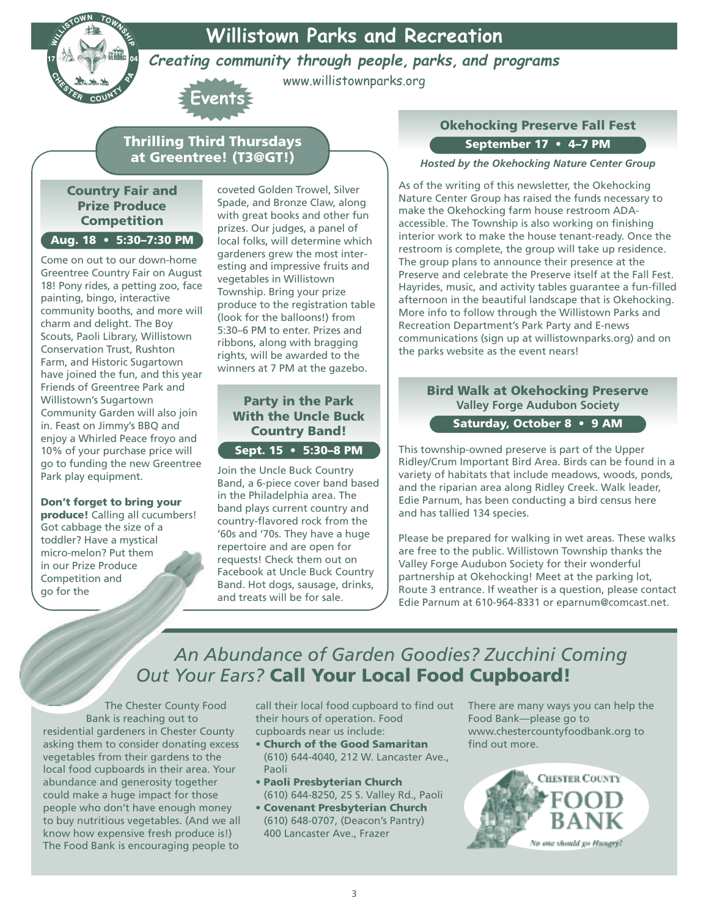**Willistown Parks and Recreation**



**Creating community through people, parks, and programs**

www.willistownparks.org

### **Thrilling Third Thursdays at Greentree! (T3@GT!)**

**Events**

#### **Country Fair and Prize Produce Competition Aug. 18 • 5:30–7:30 PM**

Come on out to our down-home Greentree Country Fair on August 18! Pony rides, a petting zoo, face painting, bingo, interactive community booths, and more will charm and delight. The Boy Scouts, Paoli Library, Willistown Conservation Trust, Rushton Farm, and Historic Sugartown have joined the fun, and this year Friends of Greentree Park and Willistown's Sugartown Community Garden will also join in. Feast on Jimmy's BBQ and enjoy a Whirled Peace froyo and 10% of your purchase price will go to funding the new Greentree Park play equipment.

#### **Don't forget to bring your**

**produce!** Calling all cucumbers! Got cabbage the size of a toddler? Have a mystical micro-melon? Put them in our Prize Produce Competition and go for the

coveted Golden Trowel, Silver Spade, and Bronze Claw, along with great books and other fun prizes. Our judges, a panel of local folks, will determine which gardeners grew the most interesting and impressive fruits and vegetables in Willistown Township. Bring your prize produce to the registration table (look for the balloons!) from 5:30–6 PM to enter. Prizes and ribbons, along with bragging rights, will be awarded to the winners at 7 PM at the gazebo.

#### **Party in the Park With the Uncle Buck Country Band!**

**Sept. 15 • 5:30–8 PM**

Join the Uncle Buck Country Band, a 6-piece cover band based in the Philadelphia area. The band plays current country and country-flavored rock from the '60s and '70s. They have a huge repertoire and are open for requests! Check them out on Facebook at Uncle Buck Country Band. Hot dogs, sausage, drinks, and treats will be for sale.

### **Okehocking Preserve Fall Fest September 17 • 4–7 PM**

*Hosted by the Okehocking Nature Center Group*

As of the writing of this newsletter, the Okehocking Nature Center Group has raised the funds necessary to make the Okehocking farm house restroom ADAaccessible. The Township is also working on finishing interior work to make the house tenant-ready. Once the restroom is complete, the group will take up residence. The group plans to announce their presence at the Preserve and celebrate the Preserve itself at the Fall Fest. Hayrides, music, and activity tables guarantee a fun-filled afternoon in the beautiful landscape that is Okehocking. More info to follow through the Willistown Parks and Recreation Department's Park Party and E-news communications (sign up at willistownparks.org) and on the parks website as the event nears!

### **Bird Walk at Okehocking Preserve Valley Forge Audubon Society**

**Saturday, October 8 • 9 AM**

This township-owned preserve is part of the Upper Ridley/Crum Important Bird Area. Birds can be found in a variety of habitats that include meadows, woods, ponds, and the riparian area along Ridley Creek. Walk leader, Edie Parnum, has been conducting a bird census here and has tallied 134 species.

Please be prepared for walking in wet areas. These walks are free to the public. Willistown Township thanks the Valley Forge Audubon Society for their wonderful partnership at Okehocking! Meet at the parking lot, Route 3 entrance. If weather is a question, please contact Edie Parnum at 610-964-8331 or eparnum@comcast.net.

## *An Abundance of Garden Goodies? Zucchini Coming Out Your Ears?* **Call Your Local Food Cupboard!**

The Chester County Food Bank is reaching out to residential gardeners in Chester County asking them to consider donating excess vegetables from their gardens to the local food cupboards in their area. Your abundance and generosity together could make a huge impact for those people who don't have enough money to buy nutritious vegetables. (And we all know how expensive fresh produce is!) The Food Bank is encouraging people to

call their local food cupboard to find out their hours of operation. Food cupboards near us include:

- **• Church of the Good Samaritan** (610) 644-4040, 212 W. Lancaster Ave., Paoli
- **• Paoli Presbyterian Church** (610) 644-8250, 25 S. Valley Rd., Paoli
- **• Covenant Presbyterian Church** (610) 648-0707, (Deacon's Pantry) 400 Lancaster Ave., Frazer

There are many ways you can help the Food Bank—please go to www.chestercountyfoodbank.org to find out more.

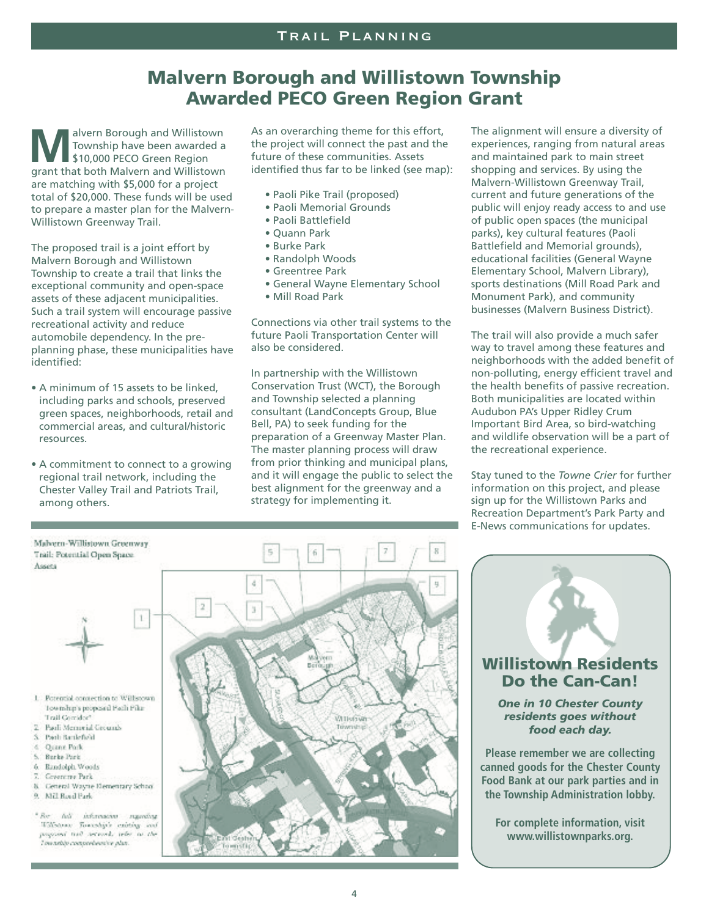## **Malvern Borough and Willistown Township Awarded PECO Green Region Grant**

**MA**<br> **MA**<br> **MARA**<br> **MARA**<br> **MARA**<br> **MARA**<br> **MARA**<br> **MARA**<br> **MARA**<br> **MARA**<br> **MARA**<br> **MARA**<br> **MARA**<br> **MARA**<br> **MARA**<br> **MARA**<br> **MARA**<br> **MARA**<br> **MARA**<br> **MARA**<br> **MARA**<br> **MARA**<br> **MARA**<br> **MARA**<br> **MARA**<br> **MARA**<br> **MARA** Township have been awarded a \$10,000 PECO Green Region grant that both Malvern and Willistown are matching with \$5,000 for a project total of \$20,000. These funds will be used to prepare a master plan for the Malvern-Willistown Greenway Trail.

The proposed trail is a joint effort by Malvern Borough and Willistown Township to create a trail that links the exceptional community and open-space assets of these adjacent municipalities. Such a trail system will encourage passive recreational activity and reduce automobile dependency. In the preplanning phase, these municipalities have identified:

- A minimum of 15 assets to be linked, including parks and schools, preserved green spaces, neighborhoods, retail and commercial areas, and cultural/historic resources.
- A commitment to connect to a growing regional trail network, including the Chester Valley Trail and Patriots Trail, among others.

Malvern-Willistown Greenway

Trail: Potential Open Space

As an overarching theme for this effort, the project will connect the past and the future of these communities. Assets identified thus far to be linked (see map):

- Paoli Pike Trail (proposed)
- Paoli Memorial Grounds
- Paoli Battlefield
- Quann Park
- Burke Park
- Randolph Woods
- Greentree Park
- General Wayne Elementary School
- Mill Road Park

Connections via other trail systems to the future Paoli Transportation Center will also be considered.

In partnership with the Willistown Conservation Trust (WCT), the Borough and Township selected a planning consultant (LandConcepts Group, Blue Bell, PA) to seek funding for the preparation of a Greenway Master Plan. The master planning process will draw from prior thinking and municipal plans, and it will engage the public to select the best alignment for the greenway and a strategy for implementing it.

The alignment will ensure a diversity of experiences, ranging from natural areas and maintained park to main street shopping and services. By using the Malvern-Willistown Greenway Trail, current and future generations of the public will enjoy ready access to and use of public open spaces (the municipal parks), key cultural features (Paoli Battlefield and Memorial grounds), educational facilities (General Wayne Elementary School, Malvern Library), sports destinations (Mill Road Park and Monument Park), and community businesses (Malvern Business District).

The trail will also provide a much safer way to travel among these features and neighborhoods with the added benefit of non-polluting, energy efficient travel and the health benefits of passive recreation. Both municipalities are located within Audubon PA's Upper Ridley Crum Important Bird Area, so bird-watching and wildlife observation will be a part of the recreational experience.

Stay tuned to the *Towne Crier* for further information on this project, and please sign up for the Willistown Parks and Recreation Department's Park Party and E-News communications for updates.



"Bec. full information mainting Williams: Township's existing and popular and seconds teles to the Towardshy comprehensive plan





*One in 10 Chester County residents goes without food each day.*

**Please remember we are collecting canned goods for the Chester County Food Bank at our park parties and in the Township Administration lobby.**

**For complete information, visit www.willistownparks.org.**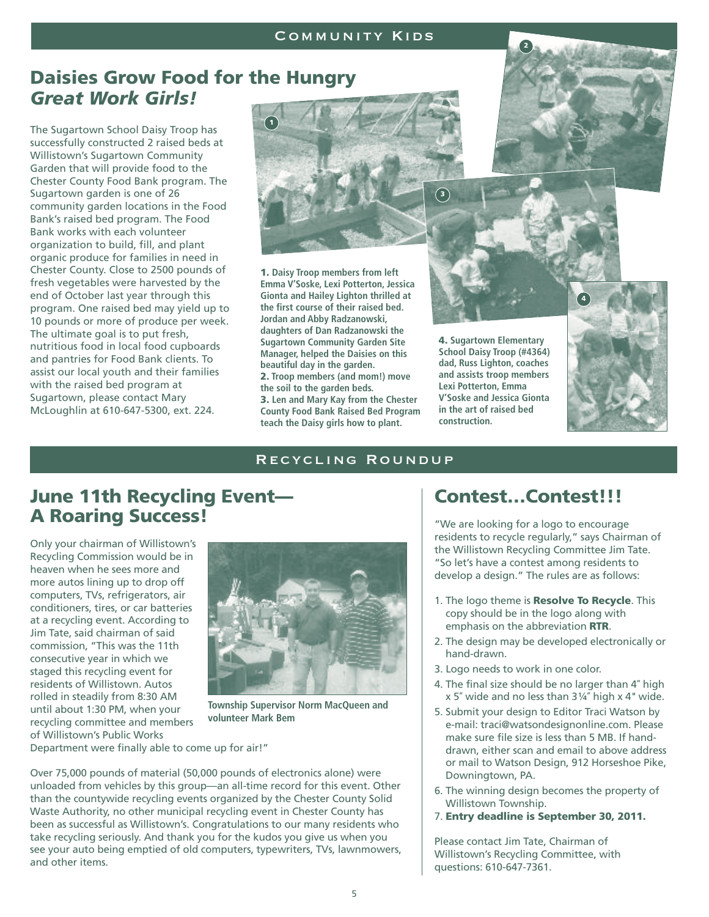## **Daisies Grow Food for the Hungry** *Great Work Girls!*

The Sugartown School Daisy Troop has successfully constructed 2 raised beds at Willistown's Sugartown Community Garden that will provide food to the Chester County Food Bank program. The Sugartown garden is one of 26 community garden locations in the Food Bank's raised bed program. The Food Bank works with each volunteer organization to build, fill, and plant organic produce for families in need in Chester County. Close to 2500 pounds of fresh vegetables were harvested by the end of October last year through this program. One raised bed may yield up to 10 pounds or more of produce per week. The ultimate goal is to put fresh, nutritious food in local food cupboards and pantries for Food Bank clients. To assist our local youth and their families with the raised bed program at Sugartown, please contact Mary McLoughlin at 610-647-5300, ext. 224.



**1. Daisy Troop members from left Emma V'Soske, Lexi Potterton, Jessica Gionta and Hailey Lighton thrilled at the first course of their raised bed. Jordan and Abby Radzanowski, daughters of Dan Radzanowski the Sugartown Community Garden Site Manager, helped the Daisies on this beautiful day in the garden. 2. Troop members (and mom!) move the soil to the garden beds. 3. Len and Mary Kay from the Chester County Food Bank Raised Bed Program teach the Daisy girls how to plant.**





**4. Sugartown Elementary School Daisy Troop (#4364) dad, Russ Lighton, coaches and assists troop members Lexi Potterton, Emma V'Soske and Jessica Gionta in the art of raised bed construction.**



#### Recycling Roundup

## **June 11th Recycling Event— A Roaring Success!**

Only your chairman of Willistown's Recycling Commission would be in heaven when he sees more and more autos lining up to drop off computers, TVs, refrigerators, air conditioners, tires, or car batteries at a recycling event. According to Jim Tate, said chairman of said commission, "This was the 11th consecutive year in which we staged this recycling event for residents of Willistown. Autos rolled in steadily from 8:30 AM until about 1:30 PM, when your recycling committee and members of Willistown's Public Works



**Township Supervisor Norm MacQueen and volunteer Mark Bem**

Department were finally able to come up for air!"

Over 75,000 pounds of material (50,000 pounds of electronics alone) were unloaded from vehicles by this group—an all-time record for this event. Other than the countywide recycling events organized by the Chester County Solid Waste Authority, no other municipal recycling event in Chester County has been as successful as Willistown's. Congratulations to our many residents who take recycling seriously. And thank you for the kudos you give us when you see your auto being emptied of old computers, typewriters, TVs, lawnmowers, and other items.

### **Contest…Contest!!!**

"We are looking for a logo to encourage residents to recycle regularly," says Chairman of the Willistown Recycling Committee Jim Tate. "So let's have a contest among residents to develop a design." The rules are as follows:

- 1. The logo theme is **Resolve To Recycle**. This copy should be in the logo along with emphasis on the abbreviation **RTR**.
- 2. The design may be developed electronically or hand-drawn.
- 3. Logo needs to work in one color.
- 4. The final size should be no larger than 4″ high  $x 5$ " wide and no less than  $3\frac{1}{4}$ " high  $x 4$ " wide.
- 5. Submit your design to Editor Traci Watson by e-mail: traci@watsondesignonline.com. Please make sure file size is less than 5 MB. If handdrawn, either scan and email to above address or mail to Watson Design, 912 Horseshoe Pike, Downingtown, PA.
- 6. The winning design becomes the property of Willistown Township.
- 7. **Entry deadline is September 30, 2011.**

Please contact Jim Tate, Chairman of Willistown's Recycling Committee, with questions: 610-647-7361.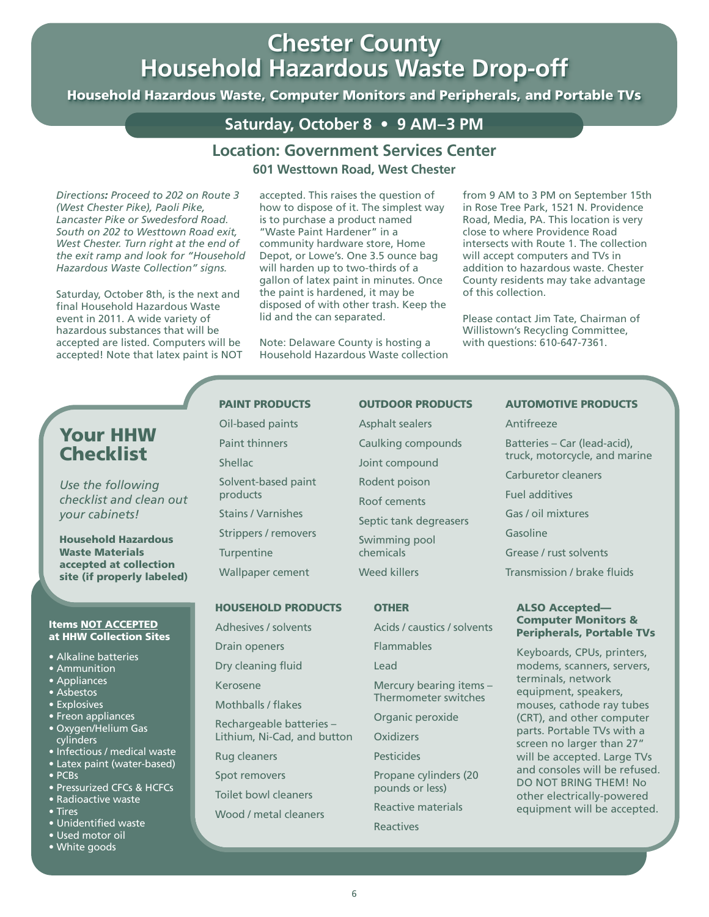## **Chester County Chester County Household Hazardous Waste Drop-off Household Hazardous Waste Drop-off**

Household Hazardous Waste, Computer Monitors and Peripherals, and Portable TVs

### **Saturday, October 8 • 9 AM–3 PM**

#### **Location: Government Services Center 601 Westtown Road, West Chester**

*Directions: Proceed to 202 on Route 3 (West Chester Pike), Paoli Pike, Lancaster Pike or Swedesford Road. South on 202 to Westtown Road exit, West Chester. Turn right at the end of the exit ramp and look for "Household Hazardous Waste Collection" signs.*

Saturday, October 8th, is the next and final Household Hazardous Waste event in 2011. A wide variety of hazardous substances that will be accepted are listed. Computers will be accepted! Note that latex paint is NOT

#### accepted. This raises the question of how to dispose of it. The simplest way is to purchase a product named "Waste Paint Hardener" in a community hardware store, Home Depot, or Lowe's. One 3.5 ounce bag will harden up to two-thirds of a gallon of latex paint in minutes. Once the paint is hardened, it may be disposed of with other trash. Keep the lid and the can separated.

Note: Delaware County is hosting a Household Hazardous Waste collection from 9 AM to 3 PM on September 15th in Rose Tree Park, 1521 N. Providence Road, Media, PA. This location is very close to where Providence Road intersects with Route 1. The collection will accept computers and TVs in addition to hazardous waste. Chester County residents may take advantage of this collection.

Please contact Jim Tate, Chairman of Willistown's Recycling Committee, with questions: 610-647-7361.

## **Your HHW Checklist**

*Use the following checklist and clean out your cabinets!*

**Household Hazardous Waste Materials accepted at collection site (if properly labeled)**

#### **Items NOT ACCEPTED at HHW Collection Sites**

- Alkaline batteries
- Ammunition
- Appliances
- Asbestos
- Explosives
- Freon appliances
- Oxygen/Helium Gas cylinders
- Infectious / medical waste
- Latex paint (water-based) • PCBs
- Pressurized CFCs & HCFCs
- Radioactive waste
- Tires
- Unidentified waste
- Used motor oil • White goods
- **PAINT PRODUCTS** Oil-based paints
	- Paint thinners **Shellac** Solvent-based paint products Stains / Varnishes Strippers / removers

**Turpentine** 

Wallpaper cement

#### **HOUSEHOLD PRODUCTS**

Adhesives / solvents

Drain openers

Dry cleaning fluid

- Kerosene
- Mothballs / flakes

Rechargeable batteries – Lithium, Ni-Cad, and button

Rug cleaners

Spot removers

- Toilet bowl cleaners
- Wood / metal cleaners

#### **OUTDOOR PRODUCTS**

Asphalt sealers Caulking compounds Joint compound Rodent poison Roof cements Septic tank degreasers Swimming pool chemicals Weed killers

#### **OTHER**

Acids / caustics / solvents

Flammables

Lead

Mercury bearing items – Thermometer switches

Organic peroxide

**Oxidizers** 

**Pesticides** 

Propane cylinders (20 pounds or less)

Reactive materials

Reactives

#### **AUTOMOTIVE PRODUCTS**

Antifreeze Batteries – Car (lead-acid), truck, motorcycle, and marine Carburetor cleaners Fuel additives Gas / oil mixtures Gasoline Grease / rust solvents Transmission / brake fluids

#### **ALSO Accepted— Computer Monitors & Peripherals, Portable TVs**

Keyboards, CPUs, printers, modems, scanners, servers, terminals, network equipment, speakers, mouses, cathode ray tubes (CRT), and other computer parts. Portable TVs with a screen no larger than 27" will be accepted. Large TVs and consoles will be refused. DO NOT BRING THEM! No other electrically-powered equipment will be accepted.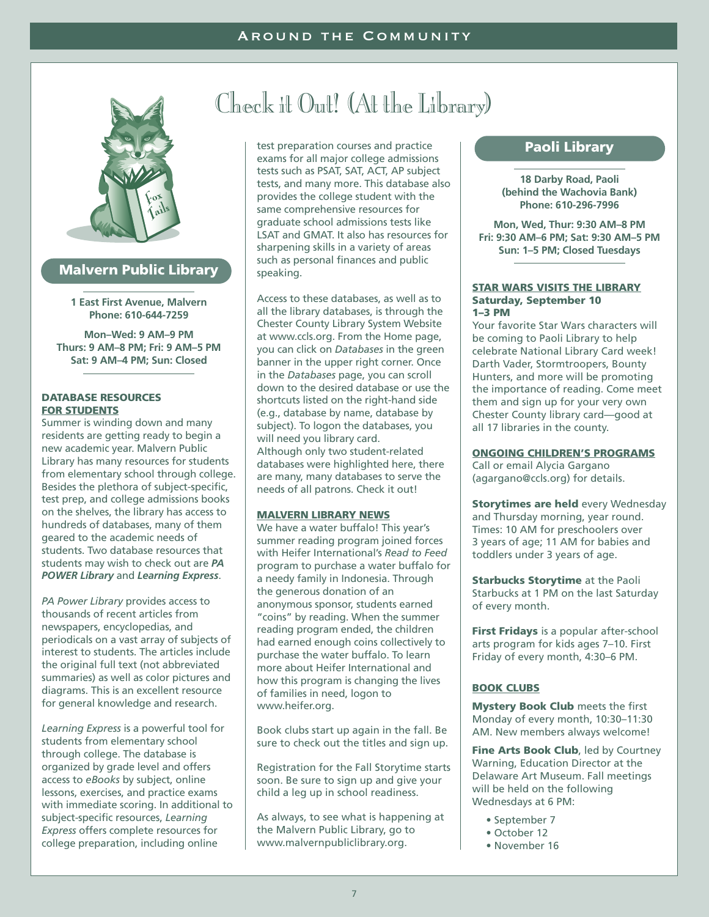

#### **Malvern Public Library**

**1 East First Avenue, Malvern Phone: 610-644-7259**

**Mon–Wed: 9 AM–9 PM Thurs: 9 AM–8 PM; Fri: 9 AM–5 PM Sat: 9 AM–4 PM; Sun: Closed**

#### **DATABASE RESOURCES FOR STUDENTS**

Summer is winding down and many residents are getting ready to begin a new academic year. Malvern Public Library has many resources for students from elementary school through college. Besides the plethora of subject-specific, test prep, and college admissions books on the shelves, the library has access to hundreds of databases, many of them geared to the academic needs of students. Two database resources that students may wish to check out are *PA POWER Library* and *Learning Express*.

*PA Power Library* provides access to thousands of recent articles from newspapers, encyclopedias, and periodicals on a vast array of subjects of interest to students. The articles include the original full text (not abbreviated summaries) as well as color pictures and diagrams. This is an excellent resource for general knowledge and research.

*Learning Express* is a powerful tool for students from elementary school through college. The database is organized by grade level and offers access to *eBooks* by subject, online lessons, exercises, and practice exams with immediate scoring. In additional to subject-specific resources, *Learning Express* offers complete resources for college preparation, including online

# Check it Out! (At the Library)

test preparation courses and practice exams for all major college admissions tests such as PSAT, SAT, ACT, AP subject tests, and many more. This database also provides the college student with the same comprehensive resources for graduate school admissions tests like LSAT and GMAT. It also has resources for sharpening skills in a variety of areas such as personal finances and public speaking.

Access to these databases, as well as to all the library databases, is through the Chester County Library System Website at www.ccls.org. From the Home page, you can click on *Databases* in the green banner in the upper right corner. Once in the *Databases* page, you can scroll down to the desired database or use the shortcuts listed on the right-hand side (e.g., database by name, database by subject). To logon the databases, you will need you library card. Although only two student-related databases were highlighted here, there are many, many databases to serve the needs of all patrons. Check it out!

#### **MALVERN LIBRARY NEWS**

We have a water buffalo! This year's summer reading program joined forces with Heifer International's *Read to Feed* program to purchase a water buffalo for a needy family in Indonesia. Through the generous donation of an anonymous sponsor, students earned "coins" by reading. When the summer reading program ended, the children had earned enough coins collectively to purchase the water buffalo. To learn more about Heifer International and how this program is changing the lives of families in need, logon to www.heifer.org.

Book clubs start up again in the fall. Be sure to check out the titles and sign up.

Registration for the Fall Storytime starts soon. Be sure to sign up and give your child a leg up in school readiness.

As always, to see what is happening at the Malvern Public Library, go to www.malvernpubliclibrary.org.

#### **Paoli Library**

**18 Darby Road, Paoli (behind the Wachovia Bank) Phone: 610-296-7996**

**Mon, Wed, Thur: 9:30 AM–8 PM Fri: 9:30 AM–6 PM; Sat: 9:30 AM–5 PM Sun: 1–5 PM; Closed Tuesdays**

#### **STAR WARS VISITS THE LIBRARY Saturday, September 10 1–3 PM**

Your favorite Star Wars characters will be coming to Paoli Library to help celebrate National Library Card week! Darth Vader, Stormtroopers, Bounty Hunters, and more will be promoting the importance of reading. Come meet them and sign up for your very own Chester County library card—good at all 17 libraries in the county.

#### **ONGOING CHILDREN'S PROGRAMS**

Call or email Alycia Gargano (agargano@ccls.org) for details.

**Storytimes are held** every Wednesday and Thursday morning, year round. Times: 10 AM for preschoolers over 3 years of age; 11 AM for babies and toddlers under 3 years of age.

**Starbucks Storytime** at the Paoli Starbucks at 1 PM on the last Saturday of every month.

**First Fridays** is a popular after-school arts program for kids ages 7–10. First Friday of every month, 4:30–6 PM.

#### **BOOK CLUBS**

**Mystery Book Club** meets the first Monday of every month, 10:30–11:30 AM. New members always welcome!

**Fine Arts Book Club**, led by Courtney Warning, Education Director at the Delaware Art Museum. Fall meetings will be held on the following Wednesdays at 6 PM:

- September 7
- October 12
- November 16